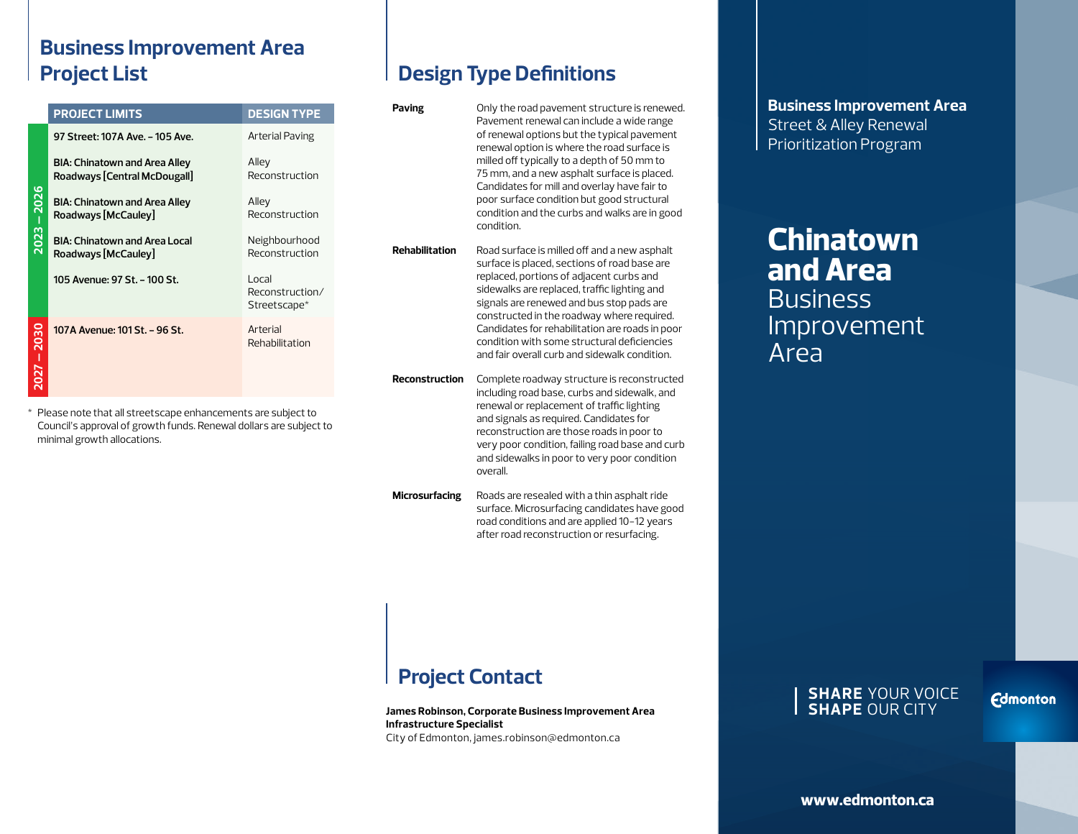### **Business Improvement Area Project List**

| <b>DESIGN TYPE</b>               |
|----------------------------------|
|                                  |
| Reconstruction                   |
|                                  |
| Neighbourhood                    |
| Reconstruction/                  |
|                                  |
| Reconstruction<br>Reconstruction |

\* Please note that all streetscape enhancements are subject to Council's approval of growth funds. Renewal dollars are subject to minimal growth allocations.

# **Design Type Definitions**

| Paving         | Only the road pavement structure is renewed.<br>Pavement renewal can include a wide range<br>of renewal options but the typical pavement<br>renewal option is where the road surface is<br>milled off typically to a depth of 50 mm to<br>75 mm, and a new asphalt surface is placed.<br>Candidates for mill and overlay have fair to<br>poor surface condition but good structural<br>condition and the curbs and walks are in good<br>condition. |
|----------------|----------------------------------------------------------------------------------------------------------------------------------------------------------------------------------------------------------------------------------------------------------------------------------------------------------------------------------------------------------------------------------------------------------------------------------------------------|
| Rehabilitation | Road surface is milled off and a new asphalt<br>surface is placed, sections of road base are<br>replaced, portions of adjacent curbs and<br>sidewalks are replaced, traffic lighting and<br>signals are renewed and bus stop pads are<br>constructed in the roadway where required.<br>Candidates for rehabilitation are roads in poor<br>condition with some structural deficiencies<br>and fair overall curb and sidewalk condition.             |
| Reconstruction | Complete roadway structure is reconstructed<br>including road base, curbs and sidewalk, and<br>renewal or replacement of traffic lighting<br>and signals as required. Candidates for<br>reconstruction are those roads in poor to<br>very poor condition, failing road base and curb<br>and sidewalks in poor to very poor condition<br>overall.                                                                                                   |
| Microsurfacing | Roads are resealed with a thin asphalt ride                                                                                                                                                                                                                                                                                                                                                                                                        |

**Microsurfacing** Roads are resealed with a thin asphalt ride surface. Microsurfacing candidates have good road conditions and are applied 10-12 years after road reconstruction or resurfacing.

# **Project Contact**

**James Robinson, Corporate Business Improvement Area Infrastructure Specialist** City of Edmonton, james.robinson@edmonton.ca

**Business Improvement Area** Street & Alley Renewal Prioritization Program

# **Chinatown and Area Business** Improvement Area

#### **SHARE** YOUR VOICE **SHAPE** OUR CITY

**Edmonton**